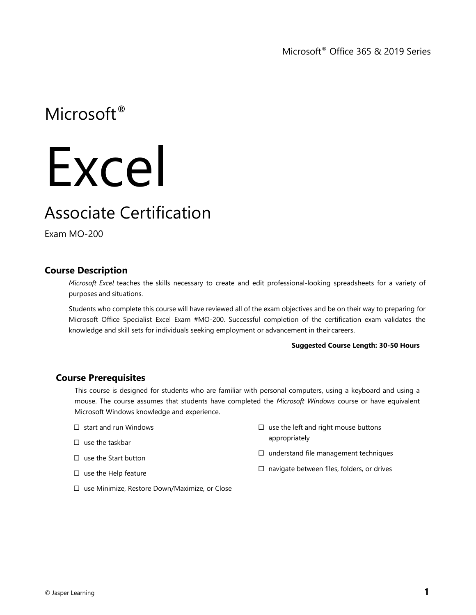Microsoft® Office 365 & 2019 Series

Microsoft<sup>®</sup>

# Excel

## Associate Certification

Exam MO-200

### **Course Description**

*Microsoft Excel* teaches the skills necessary to create and edit professional-looking spreadsheets for a variety of purposes and situations.

Students who complete this course will have reviewed all of the exam objectives and be on their way to preparing for Microsoft Office Specialist Excel Exam #MO-200. Successful completion of the certification exam validates the knowledge and skill sets for individuals seeking employment or advancement in their careers.

#### **Suggested Course Length: 30-50 Hours**

#### **Course Prerequisites**

This course is designed for students who are familiar with personal computers, using a keyboard and using a mouse. The course assumes that students have completed the *Microsoft Windows* course or have equivalent Microsoft Windows knowledge and experience.

- $\Box$  start and run Windows
- $\square$  use the taskbar
- $\square$  use the Start button
- $\square$  use the Help feature
- $\square$  use the left and right mouse buttons appropriately
- $\square$  understand file management techniques
- $\square$  navigate between files, folders, or drives
- □ use Minimize, Restore Down/Maximize, or Close